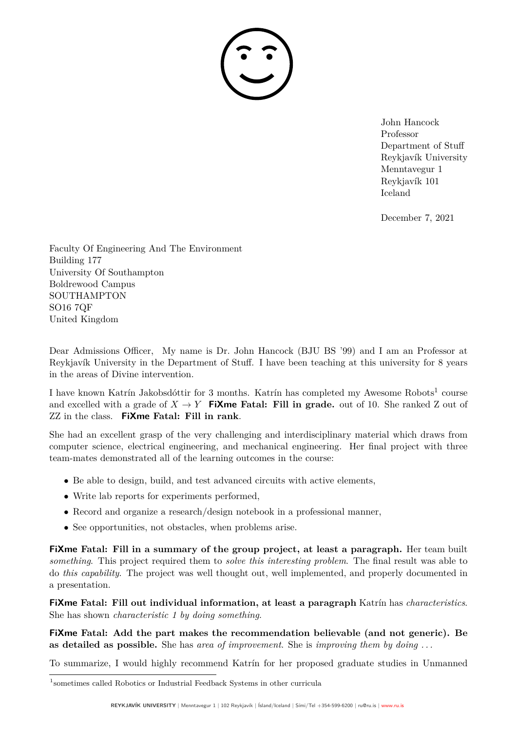December 7, 2021

Faculty Of Engineering And The Environment Building 177 University Of Southampton Boldrewood Campus SOUTHAMPTON SO16 7QF United Kingdom

Dear Admissions Officer, My name is Dr. John Hancock (BJU BS '99) and I am an Professor at Reykjavík University in the Department of Stuff. I have been teaching at this university for 8 years in the areas of Divine intervention.

I have known Katrín Jakobsdóttir for 3 months. Katrín has completed my Awesome Robots<sup>1</sup> course and excelled with a grade of  $X \to Y$  **FiXme Fatal: Fill in grade.** out of 10. She ranked Z out of ZZ in the class. **FiXme Fatal: Fill in rank**.

She had an excellent grasp of the very challenging and interdisciplinary material which draws from computer science, electrical engineering, and mechanical engineering. Her final project with three team-mates demonstrated all of the learning outcomes in the course:

- Be able to design, build, and test advanced circuits with active elements,
- Write lab reports for experiments performed,
- Record and organize a research/design notebook in a professional manner,
- See opportunities, not obstacles, when problems arise.

**FiXme Fatal: Fill in a summary of the group project, at least a paragraph.** Her team built *something*. This project required them to *solve this interesting problem*. The final result was able to do *this capability*. The project was well thought out, well implemented, and properly documented in a presentation.

**FiXme Fatal: Fill out individual information, at least a paragraph** Katrín has *characteristics*. She has shown *characteristic 1 by doing something*.

**FiXme Fatal: Add the part makes the recommendation believable (and not generic). Be as detailed as possible.** She has *area of improvement*. She is *improving them by doing . . .*

To summarize, I would highly recommend Katrín for her proposed graduate studies in Unmanned

<sup>1</sup> sometimes called Robotics or Industrial Feedback Systems in other curricula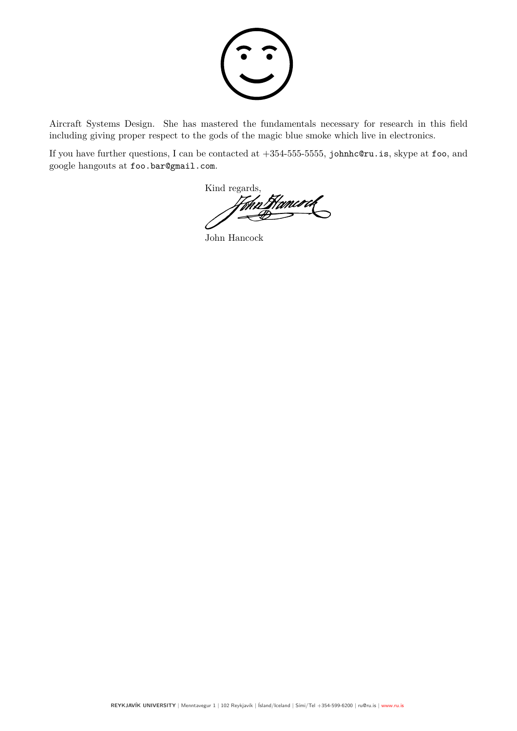

Aircraft Systems Design. She has mastered the fundamentals necessary for research in this field including giving proper respect to the gods of the magic blue smoke which live in electronics.

If you have further questions, I can be contacted at +354-555-5555, johnhc@ru.is, skype at foo, and google hangouts at foo.bar@gmail.com.

Kind regards,

John Hancock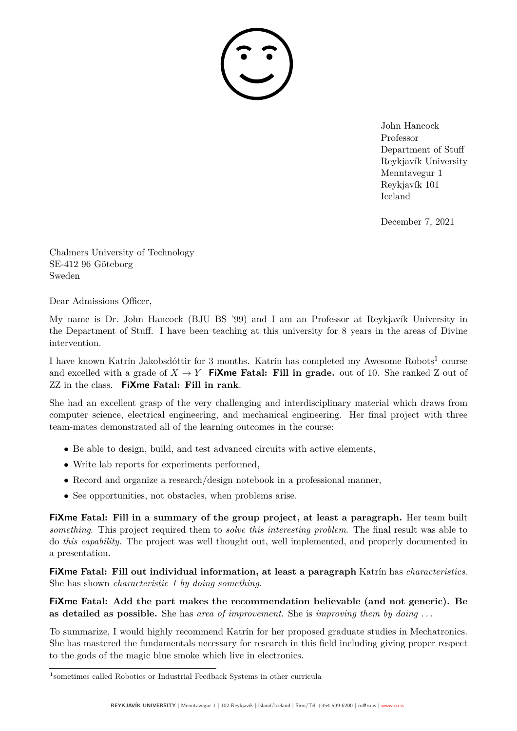December 7, 2021

Chalmers University of Technology SE-412 96 Göteborg Sweden

Dear Admissions Officer,

My name is Dr. John Hancock (BJU BS '99) and I am an Professor at Reykjavík University in the Department of Stuff. I have been teaching at this university for 8 years in the areas of Divine intervention.

I have known Katrín Jakobsdóttir for 3 months. Katrín has completed my Awesome Robots<sup>1</sup> course and excelled with a grade of  $X \to Y$  **FiXme Fatal: Fill in grade.** out of 10. She ranked Z out of ZZ in the class. **FiXme Fatal: Fill in rank**.

She had an excellent grasp of the very challenging and interdisciplinary material which draws from computer science, electrical engineering, and mechanical engineering. Her final project with three team-mates demonstrated all of the learning outcomes in the course:

- Be able to design, build, and test advanced circuits with active elements,
- Write lab reports for experiments performed,
- Record and organize a research/design notebook in a professional manner,
- See opportunities, not obstacles, when problems arise.

**FiXme Fatal: Fill in a summary of the group project, at least a paragraph.** Her team built *something*. This project required them to *solve this interesting problem*. The final result was able to do *this capability*. The project was well thought out, well implemented, and properly documented in a presentation.

**FiXme Fatal: Fill out individual information, at least a paragraph** Katrín has *characteristics*. She has shown *characteristic 1 by doing something*.

**FiXme Fatal: Add the part makes the recommendation believable (and not generic). Be as detailed as possible.** She has *area of improvement*. She is *improving them by doing . . .*

To summarize, I would highly recommend Katrín for her proposed graduate studies in Mechatronics. She has mastered the fundamentals necessary for research in this field including giving proper respect to the gods of the magic blue smoke which live in electronics.

<sup>1</sup> sometimes called Robotics or Industrial Feedback Systems in other curricula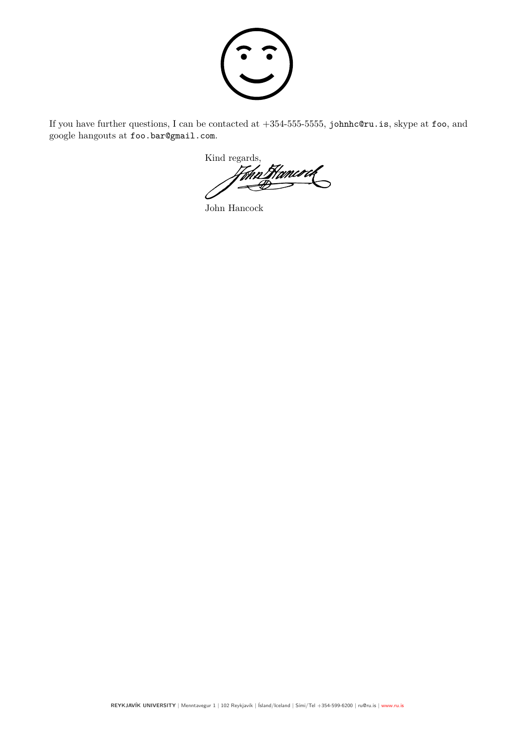

If you have further questions, I can be contacted at +354-555-5555, johnhc@ru.is, skype at foo, and google hangouts at foo.bar@gmail.com.

Kind regards,<br>Hohn Homered

John Hancock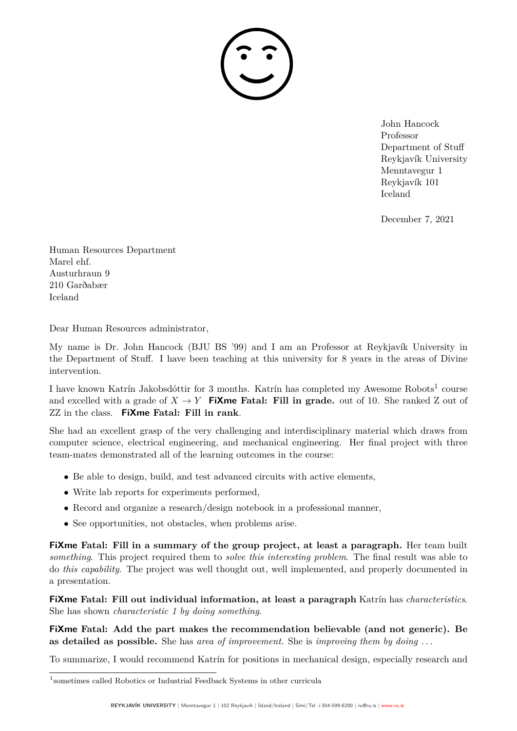

December 7, 2021

Human Resources Department Marel ehf. Austurhraun 9 210 Garðabær Iceland

Dear Human Resources administrator,

My name is Dr. John Hancock (BJU BS '99) and I am an Professor at Reykjavík University in the Department of Stuff. I have been teaching at this university for 8 years in the areas of Divine intervention.

I have known Katrín Jakobsdóttir for 3 months. Katrín has completed my Awesome Robots<sup>1</sup> course and excelled with a grade of  $X \to Y$  **FiXme Fatal: Fill in grade.** out of 10. She ranked Z out of ZZ in the class. **FiXme Fatal: Fill in rank**.

She had an excellent grasp of the very challenging and interdisciplinary material which draws from computer science, electrical engineering, and mechanical engineering. Her final project with three team-mates demonstrated all of the learning outcomes in the course:

- Be able to design, build, and test advanced circuits with active elements,
- Write lab reports for experiments performed,
- Record and organize a research/design notebook in a professional manner,
- See opportunities, not obstacles, when problems arise.

**FiXme Fatal: Fill in a summary of the group project, at least a paragraph.** Her team built *something*. This project required them to *solve this interesting problem*. The final result was able to do *this capability*. The project was well thought out, well implemented, and properly documented in a presentation.

**FiXme Fatal: Fill out individual information, at least a paragraph** Katrín has *characteristics*. She has shown *characteristic 1 by doing something*.

**FiXme Fatal: Add the part makes the recommendation believable (and not generic). Be as detailed as possible.** She has *area of improvement*. She is *improving them by doing . . .*

To summarize, I would recommend Katrín for positions in mechanical design, especially research and

<sup>1</sup> sometimes called Robotics or Industrial Feedback Systems in other curricula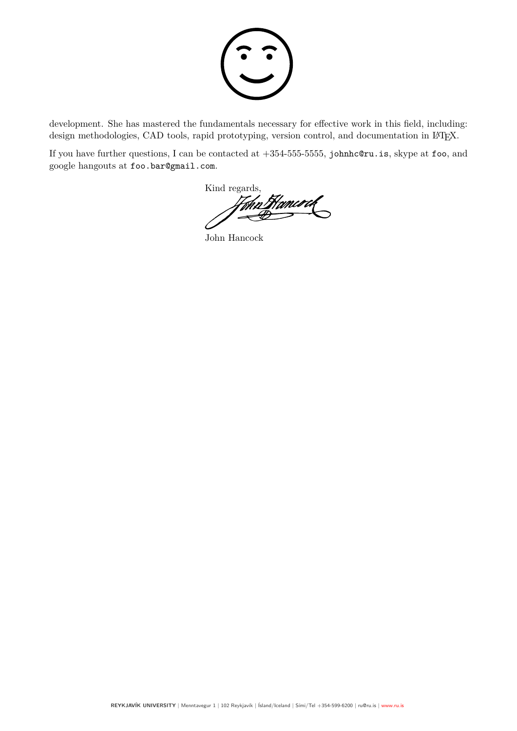

development. She has mastered the fundamentals necessary for effective work in this field, including: design methodologies, CAD tools, rapid prototyping, version control, and documentation in L<sup>AT</sup>FX.

If you have further questions, I can be contacted at +354-555-5555, johnhc@ru.is, skype at foo, and google hangouts at foo.bar@gmail.com.

Kind regards,

John Hancock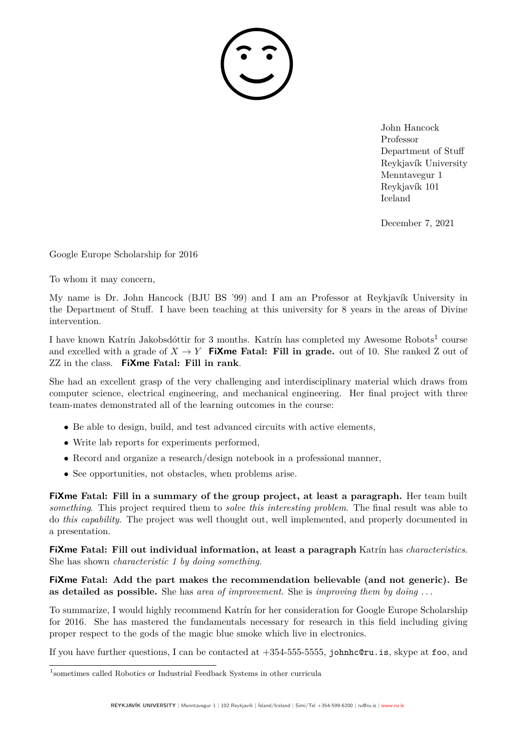December 7, 2021

Google Europe Scholarship for 2016

To whom it may concern,

My name is Dr. John Hancock (BJU BS '99) and I am an Professor at Reykjavík University in the Department of Stuff. I have been teaching at this university for 8 years in the areas of Divine intervention.

I have known Katrín Jakobsdóttir for 3 months. Katrín has completed my Awesome Robots<sup>1</sup> course and excelled with a grade of  $X \to Y$  **FiXme Fatal: Fill in grade.** out of 10. She ranked Z out of ZZ in the class. **FiXme Fatal: Fill in rank**.

She had an excellent grasp of the very challenging and interdisciplinary material which draws from computer science, electrical engineering, and mechanical engineering. Her final project with three team-mates demonstrated all of the learning outcomes in the course:

- Be able to design, build, and test advanced circuits with active elements,
- Write lab reports for experiments performed,
- Record and organize a research/design notebook in a professional manner,
- See opportunities, not obstacles, when problems arise.

**FiXme Fatal: Fill in a summary of the group project, at least a paragraph.** Her team built *something*. This project required them to *solve this interesting problem*. The final result was able to do *this capability*. The project was well thought out, well implemented, and properly documented in a presentation.

**FiXme Fatal: Fill out individual information, at least a paragraph** Katrín has *characteristics*. She has shown *characteristic 1 by doing something*.

**FiXme Fatal: Add the part makes the recommendation believable (and not generic). Be as detailed as possible.** She has *area of improvement*. She is *improving them by doing . . .*

To summarize, I would highly recommend Katrín for her consideration for Google Europe Scholarship for 2016. She has mastered the fundamentals necessary for research in this field including giving proper respect to the gods of the magic blue smoke which live in electronics.

If you have further questions, I can be contacted at  $+354-555-5555$ , johnhc@ru.is, skype at foo, and

<sup>1</sup> sometimes called Robotics or Industrial Feedback Systems in other curricula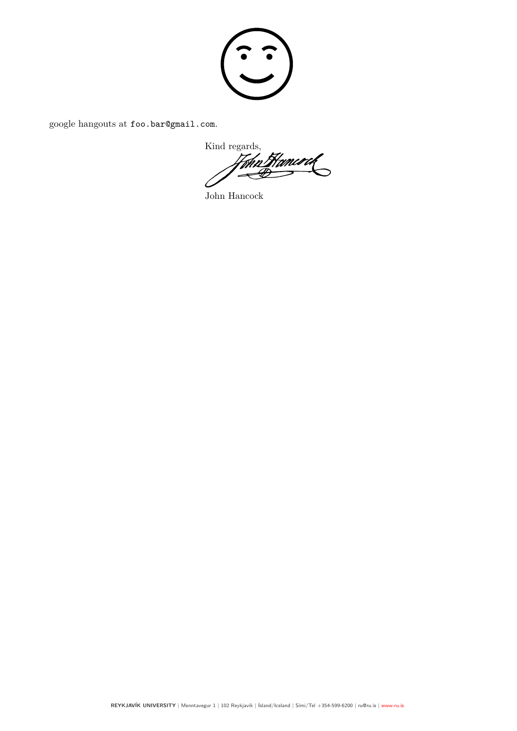

google hangouts at foo.bar@gmail.com.

Kind regards,<br>Home Hamco at  $\tilde{\mathscr{B}}$ 

John Hancock